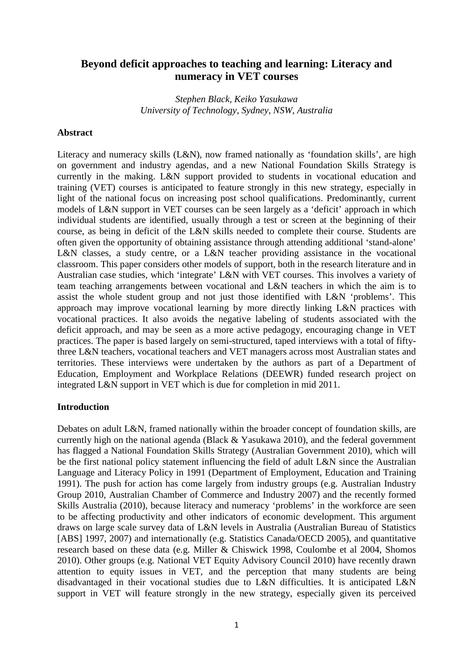# **Beyond deficit approaches to teaching and learning: Literacy and numeracy in VET courses**

*Stephen Black, Keiko Yasukawa University of Technology, Sydney, NSW, Australia*

#### **Abstract**

Literacy and numeracy skills (L&N), now framed nationally as 'foundation skills', are high on government and industry agendas, and a new National Foundation Skills Strategy is currently in the making. L&N support provided to students in vocational education and training (VET) courses is anticipated to feature strongly in this new strategy, especially in light of the national focus on increasing post school qualifications. Predominantly, current models of L&N support in VET courses can be seen largely as a 'deficit' approach in which individual students are identified, usually through a test or screen at the beginning of their course, as being in deficit of the L&N skills needed to complete their course. Students are often given the opportunity of obtaining assistance through attending additional 'stand-alone' L&N classes, a study centre, or a L&N teacher providing assistance in the vocational classroom. This paper considers other models of support, both in the research literature and in Australian case studies, which 'integrate' L&N with VET courses. This involves a variety of team teaching arrangements between vocational and L&N teachers in which the aim is to assist the whole student group and not just those identified with L&N 'problems'. This approach may improve vocational learning by more directly linking L&N practices with vocational practices. It also avoids the negative labeling of students associated with the deficit approach, and may be seen as a more active pedagogy, encouraging change in VET practices. The paper is based largely on semi-structured, taped interviews with a total of fiftythree L&N teachers, vocational teachers and VET managers across most Australian states and territories. These interviews were undertaken by the authors as part of a Department of Education, Employment and Workplace Relations (DEEWR) funded research project on integrated L&N support in VET which is due for completion in mid 2011.

#### **Introduction**

Debates on adult L&N, framed nationally within the broader concept of foundation skills, are currently high on the national agenda (Black & Yasukawa 2010), and the federal government has flagged a National Foundation Skills Strategy (Australian Government 2010), which will be the first national policy statement influencing the field of adult L&N since the Australian Language and Literacy Policy in 1991 (Department of Employment, Education and Training 1991). The push for action has come largely from industry groups (e.g. Australian Industry Group 2010, Australian Chamber of Commerce and Industry 2007) and the recently formed Skills Australia (2010), because literacy and numeracy 'problems' in the workforce are seen to be affecting productivity and other indicators of economic development. This argument draws on large scale survey data of L&N levels in Australia (Australian Bureau of Statistics [ABS] 1997, 2007) and internationally (e.g. Statistics Canada/OECD 2005), and quantitative research based on these data (e.g. Miller & Chiswick 1998, Coulombe et al 2004, Shomos 2010). Other groups (e.g. National VET Equity Advisory Council 2010) have recently drawn attention to equity issues in VET, and the perception that many students are being disadvantaged in their vocational studies due to L&N difficulties. It is anticipated L&N support in VET will feature strongly in the new strategy, especially given its perceived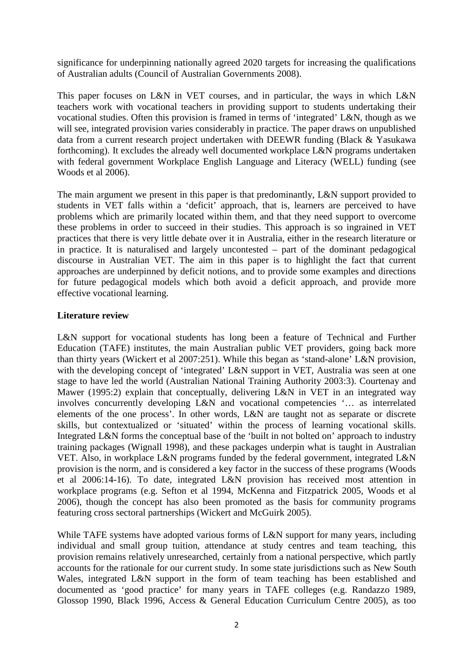significance for underpinning nationally agreed 2020 targets for increasing the qualifications of Australian adults (Council of Australian Governments 2008).

This paper focuses on L&N in VET courses, and in particular, the ways in which L&N teachers work with vocational teachers in providing support to students undertaking their vocational studies. Often this provision is framed in terms of 'integrated' L&N, though as we will see, integrated provision varies considerably in practice. The paper draws on unpublished data from a current research project undertaken with DEEWR funding (Black & Yasukawa forthcoming). It excludes the already well documented workplace L&N programs undertaken with federal government Workplace English Language and Literacy (WELL) funding (see Woods et al 2006).

The main argument we present in this paper is that predominantly, L&N support provided to students in VET falls within a 'deficit' approach, that is, learners are perceived to have problems which are primarily located within them, and that they need support to overcome these problems in order to succeed in their studies. This approach is so ingrained in VET practices that there is very little debate over it in Australia, either in the research literature or in practice. It is naturalised and largely uncontested – part of the dominant pedagogical discourse in Australian VET. The aim in this paper is to highlight the fact that current approaches are underpinned by deficit notions, and to provide some examples and directions for future pedagogical models which both avoid a deficit approach, and provide more effective vocational learning.

# **Literature review**

L&N support for vocational students has long been a feature of Technical and Further Education (TAFE) institutes, the main Australian public VET providers, going back more than thirty years (Wickert et al 2007:251). While this began as 'stand-alone' L&N provision, with the developing concept of 'integrated' L&N support in VET, Australia was seen at one stage to have led the world (Australian National Training Authority 2003:3). Courtenay and Mawer (1995:2) explain that conceptually, delivering L&N in VET in an integrated way involves concurrently developing L&N and vocational competencies '… as interrelated elements of the one process'. In other words, L&N are taught not as separate or discrete skills, but contextualized or 'situated' within the process of learning vocational skills. Integrated L&N forms the conceptual base of the 'built in not bolted on' approach to industry training packages (Wignall 1998), and these packages underpin what is taught in Australian VET. Also, in workplace L&N programs funded by the federal government, integrated L&N provision is the norm, and is considered a key factor in the success of these programs (Woods et al 2006:14-16). To date, integrated L&N provision has received most attention in workplace programs (e.g. Sefton et al 1994, McKenna and Fitzpatrick 2005, Woods et al 2006), though the concept has also been promoted as the basis for community programs featuring cross sectoral partnerships (Wickert and McGuirk 2005).

While TAFE systems have adopted various forms of L&N support for many years, including individual and small group tuition, attendance at study centres and team teaching, this provision remains relatively unresearched, certainly from a national perspective, which partly accounts for the rationale for our current study. In some state jurisdictions such as New South Wales, integrated L&N support in the form of team teaching has been established and documented as 'good practice' for many years in TAFE colleges (e.g. Randazzo 1989, Glossop 1990, Black 1996, Access & General Education Curriculum Centre 2005), as too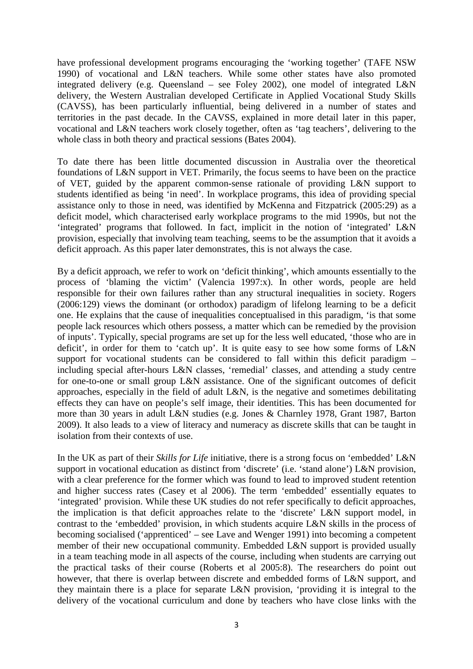have professional development programs encouraging the 'working together' (TAFE NSW 1990) of vocational and L&N teachers. While some other states have also promoted integrated delivery (e.g. Queensland – see Foley 2002), one model of integrated L&N delivery, the Western Australian developed Certificate in Applied Vocational Study Skills (CAVSS), has been particularly influential, being delivered in a number of states and territories in the past decade. In the CAVSS, explained in more detail later in this paper, vocational and L&N teachers work closely together, often as 'tag teachers', delivering to the whole class in both theory and practical sessions (Bates 2004).

To date there has been little documented discussion in Australia over the theoretical foundations of L&N support in VET. Primarily, the focus seems to have been on the practice of VET, guided by the apparent common-sense rationale of providing L&N support to students identified as being 'in need'. In workplace programs, this idea of providing special assistance only to those in need, was identified by McKenna and Fitzpatrick (2005:29) as a deficit model, which characterised early workplace programs to the mid 1990s, but not the 'integrated' programs that followed. In fact, implicit in the notion of 'integrated' L&N provision, especially that involving team teaching, seems to be the assumption that it avoids a deficit approach. As this paper later demonstrates, this is not always the case.

By a deficit approach, we refer to work on 'deficit thinking', which amounts essentially to the process of 'blaming the victim' (Valencia 1997:x). In other words, people are held responsible for their own failures rather than any structural inequalities in society. Rogers (2006:129) views the dominant (or orthodox) paradigm of lifelong learning to be a deficit one. He explains that the cause of inequalities conceptualised in this paradigm, 'is that some people lack resources which others possess, a matter which can be remedied by the provision of inputs'. Typically, special programs are set up for the less well educated, 'those who are in deficit', in order for them to 'catch up'. It is quite easy to see how some forms of L&N support for vocational students can be considered to fall within this deficit paradigm – including special after-hours L&N classes, 'remedial' classes, and attending a study centre for one-to-one or small group L&N assistance. One of the significant outcomes of deficit approaches, especially in the field of adult L&N, is the negative and sometimes debilitating effects they can have on people's self image, their identities. This has been documented for more than 30 years in adult L&N studies (e.g. Jones & Charnley 1978, Grant 1987, Barton 2009). It also leads to a view of literacy and numeracy as discrete skills that can be taught in isolation from their contexts of use.

In the UK as part of their *Skills for Life* initiative, there is a strong focus on 'embedded' L&N support in vocational education as distinct from 'discrete' (i.e. 'stand alone') L&N provision, with a clear preference for the former which was found to lead to improved student retention and higher success rates (Casey et al 2006). The term 'embedded' essentially equates to 'integrated' provision. While these UK studies do not refer specifically to deficit approaches, the implication is that deficit approaches relate to the 'discrete' L&N support model, in contrast to the 'embedded' provision, in which students acquire L&N skills in the process of becoming socialised ('apprenticed' – see Lave and Wenger 1991) into becoming a competent member of their new occupational community. Embedded L&N support is provided usually in a team teaching mode in all aspects of the course, including when students are carrying out the practical tasks of their course (Roberts et al 2005:8). The researchers do point out however, that there is overlap between discrete and embedded forms of L&N support, and they maintain there is a place for separate L&N provision, 'providing it is integral to the delivery of the vocational curriculum and done by teachers who have close links with the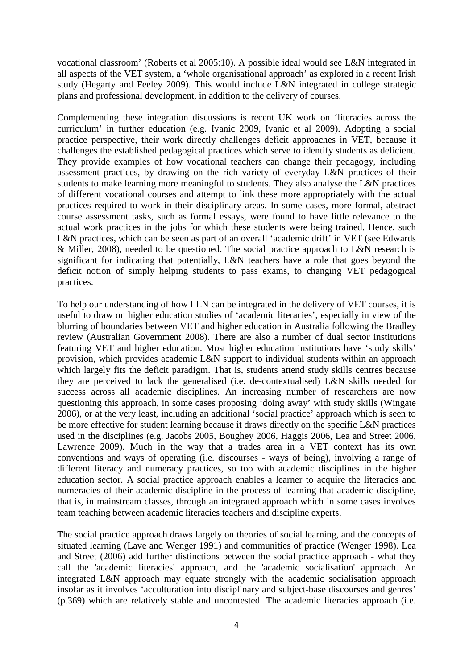vocational classroom' (Roberts et al 2005:10). A possible ideal would see L&N integrated in all aspects of the VET system, a 'whole organisational approach' as explored in a recent Irish study (Hegarty and Feeley 2009). This would include L&N integrated in college strategic plans and professional development, in addition to the delivery of courses.

Complementing these integration discussions is recent UK work on 'literacies across the curriculum' in further education (e.g. Ivanic 2009, Ivanic et al 2009). Adopting a social practice perspective, their work directly challenges deficit approaches in VET, because it challenges the established pedagogical practices which serve to identify students as deficient. They provide examples of how vocational teachers can change their pedagogy, including assessment practices, by drawing on the rich variety of everyday L&N practices of their students to make learning more meaningful to students. They also analyse the L&N practices of different vocational courses and attempt to link these more appropriately with the actual practices required to work in their disciplinary areas. In some cases, more formal, abstract course assessment tasks, such as formal essays, were found to have little relevance to the actual work practices in the jobs for which these students were being trained. Hence, such L&N practices, which can be seen as part of an overall 'academic drift' in VET (see Edwards & Miller, 2008), needed to be questioned. The social practice approach to L&N research is significant for indicating that potentially, L&N teachers have a role that goes beyond the deficit notion of simply helping students to pass exams, to changing VET pedagogical practices.

To help our understanding of how LLN can be integrated in the delivery of VET courses, it is useful to draw on higher education studies of 'academic literacies', especially in view of the blurring of boundaries between VET and higher education in Australia following the Bradley review (Australian Government 2008). There are also a number of dual sector institutions featuring VET and higher education. Most higher education institutions have 'study skills' provision, which provides academic L&N support to individual students within an approach which largely fits the deficit paradigm. That is, students attend study skills centres because they are perceived to lack the generalised (i.e. de-contextualised) L&N skills needed for success across all academic disciplines. An increasing number of researchers are now questioning this approach, in some cases proposing 'doing away' with study skills (Wingate 2006), or at the very least, including an additional 'social practice' approach which is seen to be more effective for student learning because it draws directly on the specific L&N practices used in the disciplines (e.g. Jacobs 2005, Boughey 2006, Haggis 2006, Lea and Street 2006, Lawrence 2009). Much in the way that a trades area in a VET context has its own conventions and ways of operating (i.e. discourses - ways of being), involving a range of different literacy and numeracy practices, so too with academic disciplines in the higher education sector. A social practice approach enables a learner to acquire the literacies and numeracies of their academic discipline in the process of learning that academic discipline, that is, in mainstream classes, through an integrated approach which in some cases involves team teaching between academic literacies teachers and discipline experts.

The social practice approach draws largely on theories of social learning, and the concepts of situated learning (Lave and Wenger 1991) and communities of practice (Wenger 1998). Lea and Street (2006) add further distinctions between the social practice approach - what they call the 'academic literacies' approach, and the 'academic socialisation' approach. An integrated L&N approach may equate strongly with the academic socialisation approach insofar as it involves 'acculturation into disciplinary and subject-base discourses and genres' (p.369) which are relatively stable and uncontested. The academic literacies approach (i.e.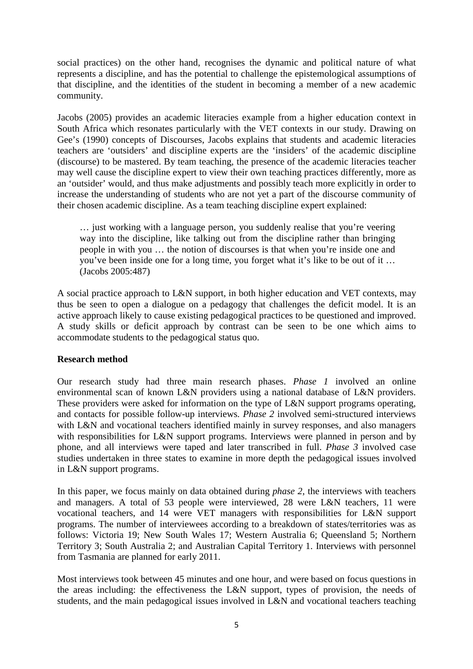social practices) on the other hand, recognises the dynamic and political nature of what represents a discipline, and has the potential to challenge the epistemological assumptions of that discipline, and the identities of the student in becoming a member of a new academic community.

Jacobs (2005) provides an academic literacies example from a higher education context in South Africa which resonates particularly with the VET contexts in our study. Drawing on Gee's (1990) concepts of Discourses, Jacobs explains that students and academic literacies teachers are 'outsiders' and discipline experts are the 'insiders' of the academic discipline (discourse) to be mastered. By team teaching, the presence of the academic literacies teacher may well cause the discipline expert to view their own teaching practices differently, more as an 'outsider' would, and thus make adjustments and possibly teach more explicitly in order to increase the understanding of students who are not yet a part of the discourse community of their chosen academic discipline. As a team teaching discipline expert explained:

… just working with a language person, you suddenly realise that you're veering way into the discipline, like talking out from the discipline rather than bringing people in with you … the notion of discourses is that when you're inside one and you've been inside one for a long time, you forget what it's like to be out of it … (Jacobs 2005:487)

A social practice approach to L&N support, in both higher education and VET contexts, may thus be seen to open a dialogue on a pedagogy that challenges the deficit model. It is an active approach likely to cause existing pedagogical practices to be questioned and improved. A study skills or deficit approach by contrast can be seen to be one which aims to accommodate students to the pedagogical status quo.

## **Research method**

Our research study had three main research phases. *Phase 1* involved an online environmental scan of known L&N providers using a national database of L&N providers. These providers were asked for information on the type of L&N support programs operating, and contacts for possible follow-up interviews*. Phase 2* involved semi-structured interviews with L&N and vocational teachers identified mainly in survey responses, and also managers with responsibilities for L&N support programs. Interviews were planned in person and by phone, and all interviews were taped and later transcribed in full. *Phase 3* involved case studies undertaken in three states to examine in more depth the pedagogical issues involved in L&N support programs.

In this paper, we focus mainly on data obtained during *phase 2*, the interviews with teachers and managers. A total of 53 people were interviewed, 28 were L&N teachers, 11 were vocational teachers, and 14 were VET managers with responsibilities for L&N support programs. The number of interviewees according to a breakdown of states/territories was as follows: Victoria 19; New South Wales 17; Western Australia 6; Queensland 5; Northern Territory 3; South Australia 2; and Australian Capital Territory 1. Interviews with personnel from Tasmania are planned for early 2011.

Most interviews took between 45 minutes and one hour, and were based on focus questions in the areas including: the effectiveness the L&N support, types of provision, the needs of students, and the main pedagogical issues involved in L&N and vocational teachers teaching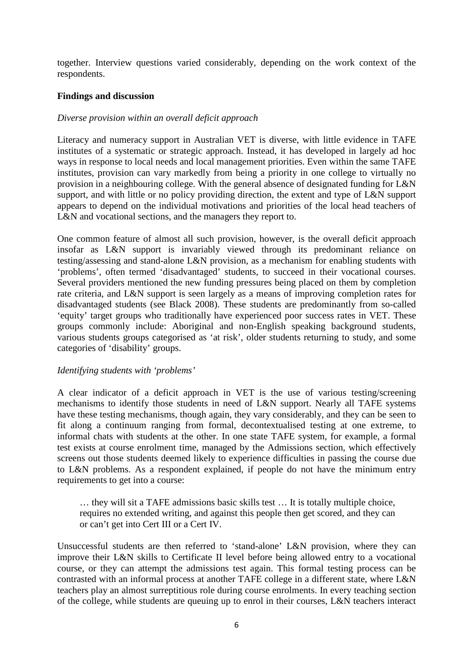together. Interview questions varied considerably, depending on the work context of the respondents.

# **Findings and discussion**

# *Diverse provision within an overall deficit approach*

Literacy and numeracy support in Australian VET is diverse, with little evidence in TAFE institutes of a systematic or strategic approach. Instead, it has developed in largely ad hoc ways in response to local needs and local management priorities. Even within the same TAFE institutes, provision can vary markedly from being a priority in one college to virtually no provision in a neighbouring college. With the general absence of designated funding for L&N support, and with little or no policy providing direction, the extent and type of L&N support appears to depend on the individual motivations and priorities of the local head teachers of L&N and vocational sections, and the managers they report to.

One common feature of almost all such provision, however, is the overall deficit approach insofar as L&N support is invariably viewed through its predominant reliance on testing/assessing and stand-alone L&N provision, as a mechanism for enabling students with 'problems', often termed 'disadvantaged' students, to succeed in their vocational courses. Several providers mentioned the new funding pressures being placed on them by completion rate criteria, and L&N support is seen largely as a means of improving completion rates for disadvantaged students (see Black 2008). These students are predominantly from so-called 'equity' target groups who traditionally have experienced poor success rates in VET. These groups commonly include: Aboriginal and non-English speaking background students, various students groups categorised as 'at risk', older students returning to study, and some categories of 'disability' groups.

## *Identifying students with 'problems'*

A clear indicator of a deficit approach in VET is the use of various testing/screening mechanisms to identify those students in need of L&N support. Nearly all TAFE systems have these testing mechanisms, though again, they vary considerably, and they can be seen to fit along a continuum ranging from formal, decontextualised testing at one extreme, to informal chats with students at the other. In one state TAFE system, for example, a formal test exists at course enrolment time, managed by the Admissions section, which effectively screens out those students deemed likely to experience difficulties in passing the course due to L&N problems. As a respondent explained, if people do not have the minimum entry requirements to get into a course:

… they will sit a TAFE admissions basic skills test … It is totally multiple choice, requires no extended writing, and against this people then get scored, and they can or can't get into Cert III or a Cert IV.

Unsuccessful students are then referred to 'stand-alone' L&N provision, where they can improve their L&N skills to Certificate II level before being allowed entry to a vocational course, or they can attempt the admissions test again. This formal testing process can be contrasted with an informal process at another TAFE college in a different state, where L&N teachers play an almost surreptitious role during course enrolments. In every teaching section of the college, while students are queuing up to enrol in their courses, L&N teachers interact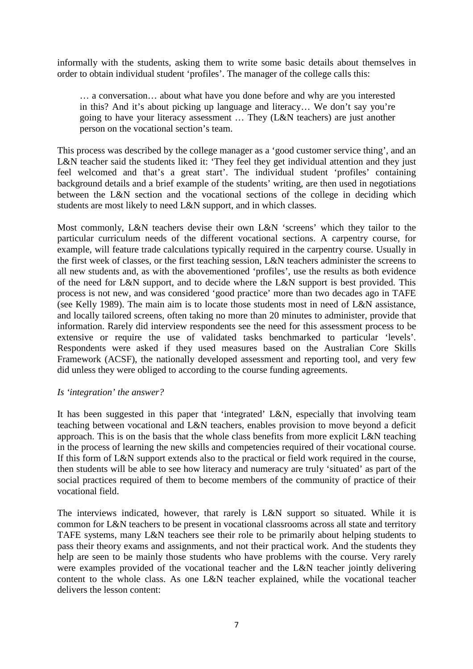informally with the students, asking them to write some basic details about themselves in order to obtain individual student 'profiles'. The manager of the college calls this:

… a conversation… about what have you done before and why are you interested in this? And it's about picking up language and literacy… We don't say you're going to have your literacy assessment … They (L&N teachers) are just another person on the vocational section's team.

This process was described by the college manager as a 'good customer service thing', and an L&N teacher said the students liked it: 'They feel they get individual attention and they just feel welcomed and that's a great start'. The individual student 'profiles' containing background details and a brief example of the students' writing, are then used in negotiations between the L&N section and the vocational sections of the college in deciding which students are most likely to need L&N support, and in which classes.

Most commonly, L&N teachers devise their own L&N 'screens' which they tailor to the particular curriculum needs of the different vocational sections. A carpentry course, for example, will feature trade calculations typically required in the carpentry course. Usually in the first week of classes, or the first teaching session, L&N teachers administer the screens to all new students and, as with the abovementioned 'profiles', use the results as both evidence of the need for L&N support, and to decide where the L&N support is best provided. This process is not new, and was considered 'good practice' more than two decades ago in TAFE (see Kelly 1989). The main aim is to locate those students most in need of L&N assistance, and locally tailored screens, often taking no more than 20 minutes to administer, provide that information. Rarely did interview respondents see the need for this assessment process to be extensive or require the use of validated tasks benchmarked to particular 'levels'. Respondents were asked if they used measures based on the Australian Core Skills Framework (ACSF), the nationally developed assessment and reporting tool, and very few did unless they were obliged to according to the course funding agreements.

## *Is 'integration' the answer?*

It has been suggested in this paper that 'integrated' L&N, especially that involving team teaching between vocational and L&N teachers, enables provision to move beyond a deficit approach. This is on the basis that the whole class benefits from more explicit L&N teaching in the process of learning the new skills and competencies required of their vocational course. If this form of L&N support extends also to the practical or field work required in the course, then students will be able to see how literacy and numeracy are truly 'situated' as part of the social practices required of them to become members of the community of practice of their vocational field.

The interviews indicated, however, that rarely is L&N support so situated. While it is common for L&N teachers to be present in vocational classrooms across all state and territory TAFE systems, many L&N teachers see their role to be primarily about helping students to pass their theory exams and assignments, and not their practical work. And the students they help are seen to be mainly those students who have problems with the course. Very rarely were examples provided of the vocational teacher and the L&N teacher jointly delivering content to the whole class. As one L&N teacher explained, while the vocational teacher delivers the lesson content: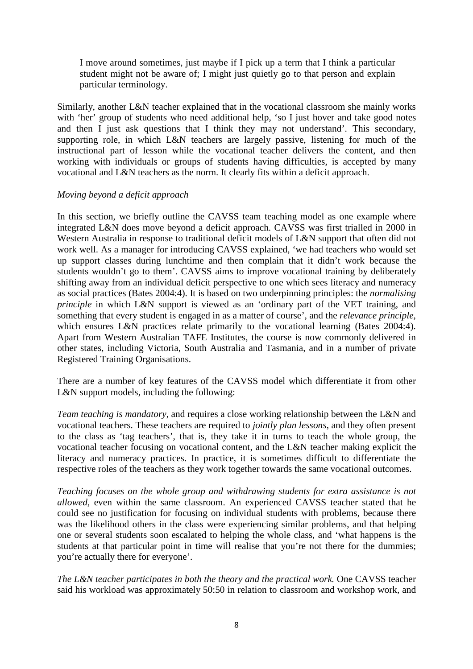I move around sometimes, just maybe if I pick up a term that I think a particular student might not be aware of; I might just quietly go to that person and explain particular terminology.

Similarly, another L&N teacher explained that in the vocational classroom she mainly works with 'her' group of students who need additional help, 'so I just hover and take good notes and then I just ask questions that I think they may not understand'. This secondary, supporting role, in which L&N teachers are largely passive, listening for much of the instructional part of lesson while the vocational teacher delivers the content, and then working with individuals or groups of students having difficulties, is accepted by many vocational and L&N teachers as the norm. It clearly fits within a deficit approach.

## *Moving beyond a deficit approach*

In this section, we briefly outline the CAVSS team teaching model as one example where integrated L&N does move beyond a deficit approach. CAVSS was first trialled in 2000 in Western Australia in response to traditional deficit models of L&N support that often did not work well. As a manager for introducing CAVSS explained, 'we had teachers who would set up support classes during lunchtime and then complain that it didn't work because the students wouldn't go to them'. CAVSS aims to improve vocational training by deliberately shifting away from an individual deficit perspective to one which sees literacy and numeracy as social practices (Bates 2004:4). It is based on two underpinning principles: the *normalising principle* in which L&N support is viewed as an 'ordinary part of the VET training, and something that every student is engaged in as a matter of course', and the *relevance principle*, which ensures L&N practices relate primarily to the vocational learning (Bates 2004:4). Apart from Western Australian TAFE Institutes, the course is now commonly delivered in other states, including Victoria, South Australia and Tasmania, and in a number of private Registered Training Organisations.

There are a number of key features of the CAVSS model which differentiate it from other L&N support models, including the following:

*Team teaching is mandatory*, and requires a close working relationship between the L&N and vocational teachers. These teachers are required to *jointly plan lessons*, and they often present to the class as 'tag teachers', that is, they take it in turns to teach the whole group, the vocational teacher focusing on vocational content, and the L&N teacher making explicit the literacy and numeracy practices. In practice, it is sometimes difficult to differentiate the respective roles of the teachers as they work together towards the same vocational outcomes.

*Teaching focuses on the whole group and withdrawing students for extra assistance is not allowed,* even within the same classroom. An experienced CAVSS teacher stated that he could see no justification for focusing on individual students with problems, because there was the likelihood others in the class were experiencing similar problems, and that helping one or several students soon escalated to helping the whole class, and 'what happens is the students at that particular point in time will realise that you're not there for the dummies; you're actually there for everyone'.

*The L&N teacher participates in both the theory and the practical work.* One CAVSS teacher said his workload was approximately 50:50 in relation to classroom and workshop work, and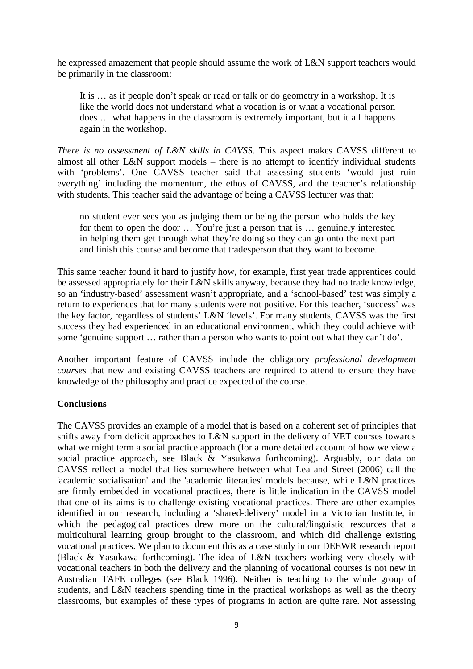he expressed amazement that people should assume the work of L&N support teachers would be primarily in the classroom:

It is … as if people don't speak or read or talk or do geometry in a workshop. It is like the world does not understand what a vocation is or what a vocational person does … what happens in the classroom is extremely important, but it all happens again in the workshop.

*There is no assessment of L&N skills in CAVSS*. This aspect makes CAVSS different to almost all other L&N support models – there is no attempt to identify individual students with 'problems'. One CAVSS teacher said that assessing students 'would just ruin everything' including the momentum, the ethos of CAVSS, and the teacher's relationship with students. This teacher said the advantage of being a CAVSS lecturer was that:

no student ever sees you as judging them or being the person who holds the key for them to open the door ... You're just a person that is ... genuinely interested in helping them get through what they're doing so they can go onto the next part and finish this course and become that tradesperson that they want to become.

This same teacher found it hard to justify how, for example, first year trade apprentices could be assessed appropriately for their L&N skills anyway, because they had no trade knowledge, so an 'industry-based' assessment wasn't appropriate, and a 'school-based' test was simply a return to experiences that for many students were not positive. For this teacher, 'success' was the key factor, regardless of students' L&N 'levels'. For many students, CAVSS was the first success they had experienced in an educational environment, which they could achieve with some 'genuine support … rather than a person who wants to point out what they can't do'.

Another important feature of CAVSS include the obligatory *professional development courses* that new and existing CAVSS teachers are required to attend to ensure they have knowledge of the philosophy and practice expected of the course.

## **Conclusions**

The CAVSS provides an example of a model that is based on a coherent set of principles that shifts away from deficit approaches to L&N support in the delivery of VET courses towards what we might term a social practice approach (for a more detailed account of how we view a social practice approach, see Black & Yasukawa forthcoming). Arguably, our data on CAVSS reflect a model that lies somewhere between what Lea and Street (2006) call the 'academic socialisation' and the 'academic literacies' models because, while L&N practices are firmly embedded in vocational practices, there is little indication in the CAVSS model that one of its aims is to challenge existing vocational practices. There are other examples identified in our research, including a 'shared-delivery' model in a Victorian Institute, in which the pedagogical practices drew more on the cultural/linguistic resources that a multicultural learning group brought to the classroom, and which did challenge existing vocational practices. We plan to document this as a case study in our DEEWR research report (Black & Yasukawa forthcoming). The idea of L&N teachers working very closely with vocational teachers in both the delivery and the planning of vocational courses is not new in Australian TAFE colleges (see Black 1996). Neither is teaching to the whole group of students, and L&N teachers spending time in the practical workshops as well as the theory classrooms, but examples of these types of programs in action are quite rare. Not assessing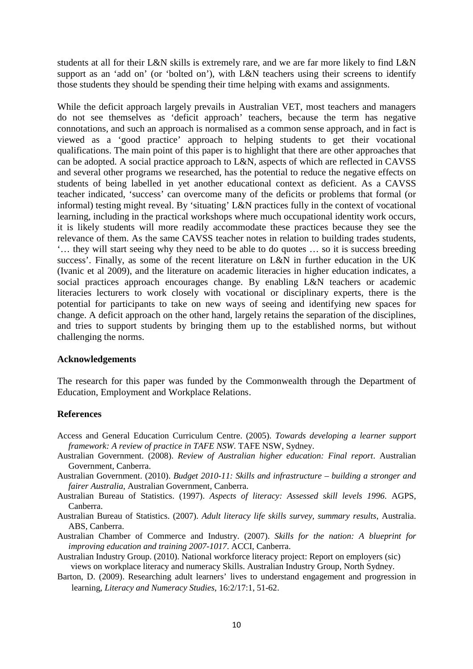students at all for their L&N skills is extremely rare, and we are far more likely to find L&N support as an 'add on' (or 'bolted on'), with L&N teachers using their screens to identify those students they should be spending their time helping with exams and assignments.

While the deficit approach largely prevails in Australian VET, most teachers and managers do not see themselves as 'deficit approach' teachers, because the term has negative connotations, and such an approach is normalised as a common sense approach, and in fact is viewed as a 'good practice' approach to helping students to get their vocational qualifications. The main point of this paper is to highlight that there are other approaches that can be adopted. A social practice approach to L&N, aspects of which are reflected in CAVSS and several other programs we researched, has the potential to reduce the negative effects on students of being labelled in yet another educational context as deficient. As a CAVSS teacher indicated, 'success' can overcome many of the deficits or problems that formal (or informal) testing might reveal. By 'situating' L&N practices fully in the context of vocational learning, including in the practical workshops where much occupational identity work occurs, it is likely students will more readily accommodate these practices because they see the relevance of them. As the same CAVSS teacher notes in relation to building trades students, '… they will start seeing why they need to be able to do quotes … so it is success breeding success'. Finally, as some of the recent literature on L&N in further education in the UK (Ivanic et al 2009), and the literature on academic literacies in higher education indicates, a social practices approach encourages change. By enabling L&N teachers or academic literacies lecturers to work closely with vocational or disciplinary experts, there is the potential for participants to take on new ways of seeing and identifying new spaces for change. A deficit approach on the other hand, largely retains the separation of the disciplines, and tries to support students by bringing them up to the established norms, but without challenging the norms.

## **Acknowledgements**

The research for this paper was funded by the Commonwealth through the Department of Education, Employment and Workplace Relations.

## **References**

- Access and General Education Curriculum Centre. (2005). *Towards developing a learner support framework: A review of practice in TAFE NSW*. TAFE NSW, Sydney.
- Australian Government. (2008). *Review of Australian higher education: Final report*. Australian Government, Canberra.
- Australian Government. (2010). *Budget 2010-11: Skills and infrastructure building a stronger and fairer Australia*, Australian Government, Canberra.
- Australian Bureau of Statistics. (1997). *Aspects of literacy: Assessed skill levels 1996*. AGPS, Canberra.
- Australian Bureau of Statistics. (2007). *Adult literacy life skills survey, summary results*, Australia. ABS, Canberra.
- Australian Chamber of Commerce and Industry. (2007). *Skills for the nation: A blueprint for improving education and training 2007-1017*. ACCI, Canberra.
- Australian Industry Group. (2010). National workforce literacy project: Report on employers (sic) views on workplace literacy and numeracy Skills. Australian Industry Group, North Sydney.
- Barton, D. (2009). Researching adult learners' lives to understand engagement and progression in learning, *Literacy and Numeracy Studies*, 16:2/17:1, 51-62.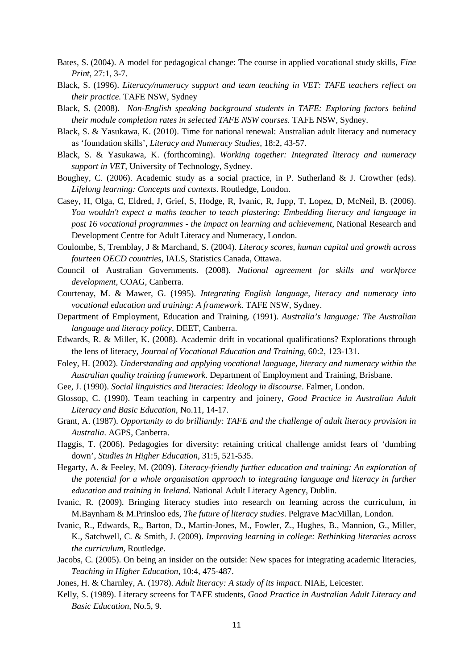- Bates, S. (2004). A model for pedagogical change: The course in applied vocational study skills, *Fine Print*, 27:1, 3-7.
- Black, S. (1996). *Literacy/numeracy support and team teaching in VET: TAFE teachers reflect on their practice.* TAFE NSW, Sydney
- Black, S. (2008). *Non-English speaking background students in TAFE: Exploring factors behind their module completion rates in selected TAFE NSW courses.* TAFE NSW, Sydney.
- Black, S. & Yasukawa, K. (2010). Time for national renewal: Australian adult literacy and numeracy as 'foundation skills', *Literacy and Numeracy Studies,* 18:2, 43-57.
- Black, S. & Yasukawa, K. (forthcoming). *Working together: Integrated literacy and numeracy support in VET,* University of Technology, Sydney.
- Boughey, C. (2006). Academic study as a social practice, in P. Sutherland & J. Crowther (eds). *Lifelong learning: Concepts and contexts*. Routledge, London.
- Casey, H, Olga, C, Eldred, J, Grief, S, Hodge, R, Ivanic, R, Jupp, T, Lopez, D, McNeil, B. (2006). *You wouldn't expect a maths teacher to teach plastering: Embedding literacy and language in post 16 vocational programmes - the impact on learning and achievement*, National Research and Development Centre for Adult Literacy and Numeracy, London.
- Coulombe, S, Tremblay, J & Marchand, S. (2004). *Literacy scores, human capital and growth across fourteen OECD countries*, IALS, Statistics Canada, Ottawa.
- Council of Australian Governments. (2008). *National agreement for skills and workforce development*, COAG, Canberra.
- Courtenay, M. & Mawer, G. (1995). *Integrating English language, literacy and numeracy into vocational education and training: A framework.* TAFE NSW, Sydney.
- Department of Employment, Education and Training. (1991). *Australia's language: The Australian language and literacy policy*, DEET, Canberra.
- Edwards, R. & Miller, K. (2008). Academic drift in vocational qualifications? Explorations through the lens of literacy, *Journal of Vocational Education and Training*, 60:2, 123-131.
- Foley, H. (2002). *Understanding and applying vocational language, literacy and numeracy within the Australian quality training framework*. Department of Employment and Training, Brisbane.
- Gee, J. (1990). *Social linguistics and literacies: Ideology in discourse*. Falmer, London.
- Glossop, C. (1990). Team teaching in carpentry and joinery, *Good Practice in Australian Adult Literacy and Basic Education*, No.11, 14-17.
- Grant, A. (1987). *Opportunity to do brilliantly: TAFE and the challenge of adult literacy provision in Australia*. AGPS, Canberra.
- Haggis, T. (2006). Pedagogies for diversity: retaining critical challenge amidst fears of 'dumbing down', *Studies in Higher Education*, 31:5, 521-535.
- Hegarty, A. & Feeley, M. (2009). *Literacy-friendly further education and training: An exploration of the potential for a whole organisation approach to integrating language and literacy in further education and training in Ireland.* National Adult Literacy Agency, Dublin.
- Ivanic, R. (2009). Bringing literacy studies into research on learning across the curriculum, in M.Baynham & M.Prinsloo eds, *The future of literacy studies*. Pelgrave MacMillan, London.
- Ivanic, R., Edwards, R,, Barton, D., Martin-Jones, M., Fowler, Z., Hughes, B., Mannion, G., Miller, K., Satchwell, C. & Smith, J. (2009). *Improving learning in college: Rethinking literacies across the curriculum,* Routledge.
- Jacobs, C. (2005). On being an insider on the outside: New spaces for integrating academic literacies, *Teaching in Higher Education*, 10:4, 475-487.
- Jones, H. & Charnley, A. (1978). *Adult literacy: A study of its impact*. NIAE, Leicester.
- Kelly, S. (1989). Literacy screens for TAFE students, *Good Practice in Australian Adult Literacy and Basic Education*, No.5, 9.